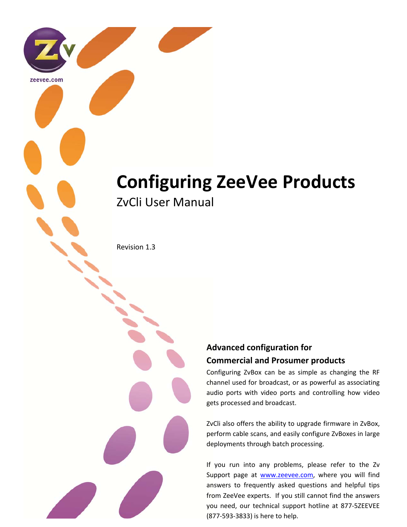# **Configuring ZeeVee Products** ZvCli User Manual

Revision 1.3

zeevee.com

# **Advanced configuration for Commercial and Prosumer products**

Configuring ZvBox can be as simple as changing the RF channel used for broadcast, or as powerful as associating audio ports with video ports and controlling how video gets processed and broadcast.

ZvCli also offers the ability to upgrade firmware in ZvBox, perform cable scans, and easily configure ZvBoxes in large deployments through batch processing.

If you run into any problems, please refer to the Zv Support page at **www.zeevee.com**, where you will find answers to frequently asked questions and helpful tips from ZeeVee experts. If you still cannot find the answers you need, our technical support hotline at 877‐5ZEEVEE (877‐593‐3833) is here to help.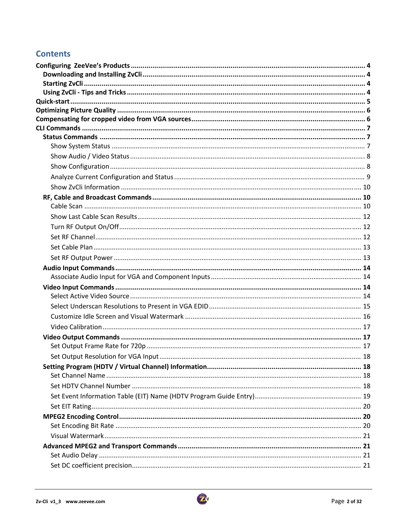# **Contents**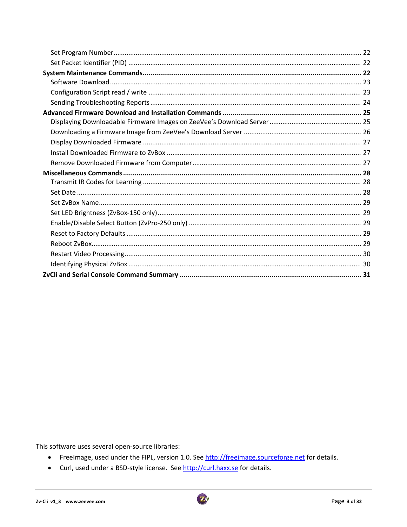This software uses several open-source libraries:

- Freelmage, used under the FIPL, version 1.0. See http://freeimage.sourceforge.net for details.
- Curl, used under a BSD-style license. See http://curl.haxx.se for details.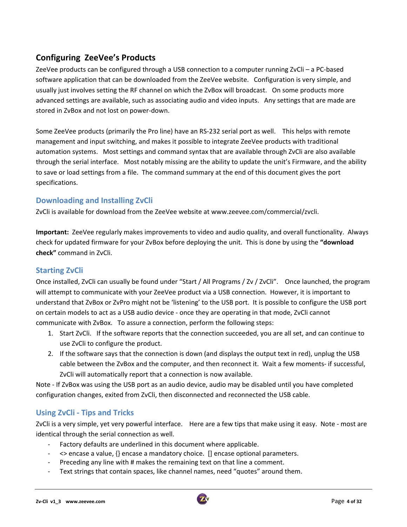# **Configuring ZeeVee's Products**

ZeeVee products can be configured through a USB connection to a computer running ZvCli – a PC-based software application that can be downloaded from the ZeeVee website. Configuration is very simple, and usually just involves setting the RF channel on which the ZvBox will broadcast. On some products more advanced settings are available, such as associating audio and video inputs. Any settings that are made are stored in ZvBox and not lost on power‐down.

Some ZeeVee products (primarily the Pro line) have an RS-232 serial port as well. This helps with remote management and input switching, and makes it possible to integrate ZeeVee products with traditional automation systems. Most settings and command syntax that are available through ZvCli are also available through the serial interface. Most notably missing are the ability to update the unit's Firmware, and the ability to save or load settings from a file. The command summary at the end of this document gives the port specifications.

# **Downloading and Installing ZvCli**

ZvCli is available for download from the ZeeVee website at www.zeevee.com/commercial/zvcli.

**Important:** ZeeVee regularly makes improvements to video and audio quality, and overall functionality. Always check for updated firmware for your ZvBox before deploying the unit. This is done by using the **"download check"** command in ZvCli.

# **Starting ZvCli**

Once installed, ZvCli can usually be found under "Start / All Programs / Zv / ZvCli". Once launched, the program will attempt to communicate with your ZeeVee product via a USB connection. However, it is important to understand that ZvBox or ZvPro might not be 'listening' to the USB port. It is possible to configure the USB port on certain models to act as a USB audio device ‐ once they are operating in that mode, ZvCli cannot communicate with ZvBox. To assure a connection, perform the following steps:

- 1. Start ZvCli. If the software reports that the connection succeeded, you are all set, and can continue to use ZvCli to configure the product.
- 2. If the software says that the connection is down (and displays the output text in red), unplug the USB cable between the ZvBox and the computer, and then reconnect it. Wait a few moments‐ if successful, ZvCli will automatically report that a connection is now available.

Note ‐ If ZvBox was using the USB port as an audio device, audio may be disabled until you have completed configuration changes, exited from ZvCli, then disconnected and reconnected the USB cable.

# **Using ZvCli ‐ Tips and Tricks**

ZvCli is a very simple, yet very powerful interface. Here are a few tips that make using it easy. Note - most are identical through the serial connection as well.

- ‐ Factory defaults are underlined in this document where applicable.
- ‐ <> encase a value, {} encase a mandatory choice. [] encase optional parameters.
- ‐ Preceding any line with # makes the remaining text on that line a comment.
- Text strings that contain spaces, like channel names, need "quotes" around them.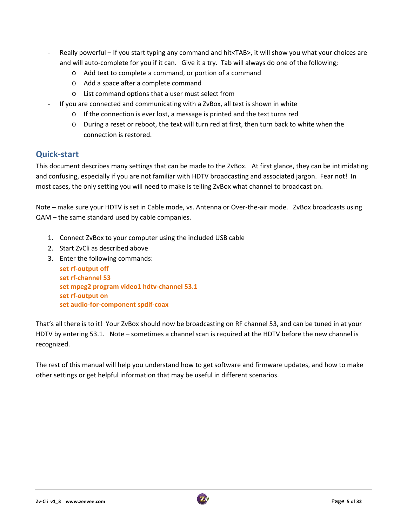- ‐ Really powerful If you start typing any command and hit<TAB>, it will show you what your choices are and will auto-complete for you if it can. Give it a try. Tab will always do one of the following;
	- o Add text to complete a command, or portion of a command
	- o Add a space after a complete command
	- o List command options that a user must select from
- ‐ If you are connected and communicating with a ZvBox, all text is shown in white
	- o If the connection is ever lost, a message is printed and the text turns red
	- o During a reset or reboot, the text will turn red at first, then turn back to white when the connection is restored.

# **Quick‐start**

This document describes many settings that can be made to the ZvBox. At first glance, they can be intimidating and confusing, especially if you are not familiar with HDTV broadcasting and associated jargon. Fear not! In most cases, the only setting you will need to make is telling ZvBox what channel to broadcast on.

Note – make sure your HDTV is set in Cable mode, vs. Antenna or Over-the-air mode. ZvBox broadcasts using QAM – the same standard used by cable companies.

- 1. Connect ZvBox to your computer using the included USB cable
- 2. Start ZvCli as described above
- 3. Enter the following commands:
	- **set rf‐output off set rf‐channel 53 set mpeg2 program video1 hdtv‐channel 53.1 set rf‐output on set audio‐for‐component spdif‐coax**

That's all there is to it! Your ZvBox should now be broadcasting on RF channel 53, and can be tuned in at your HDTV by entering 53.1. Note – sometimes a channel scan is required at the HDTV before the new channel is recognized.

The rest of this manual will help you understand how to get software and firmware updates, and how to make other settings or get helpful information that may be useful in different scenarios.

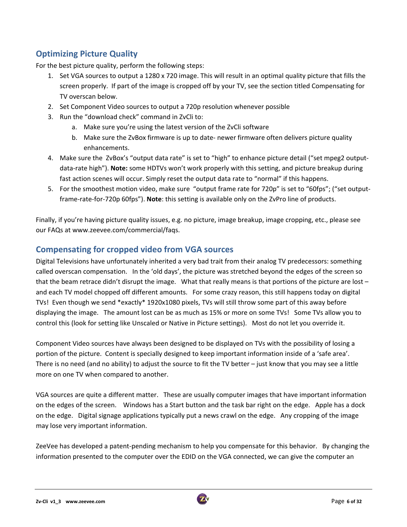# **Optimizing Picture Quality**

For the best picture quality, perform the following steps:

- 1. Set VGA sources to output a 1280 x 720 image. This will result in an optimal quality picture that fills the screen properly. If part of the image is cropped off by your TV, see the section titled Compensating for TV overscan below.
- 2. Set Component Video sources to output a 720p resolution whenever possible
- 3. Run the "download check" command in ZvCli to:
	- a. Make sure you're using the latest version of the ZvCli software
	- b. Make sure the ZvBox firmware is up to date‐ newer firmware often delivers picture quality enhancements.
- 4. Make sure the ZvBox's "output data rate" is set to "high" to enhance picture detail ("set mpeg2 output‐ data‐rate high"). **Note:** some HDTVs won't work properly with this setting, and picture breakup during fast action scenes will occur. Simply reset the output data rate to "normal" if this happens.
- 5. For the smoothest motion video, make sure "output frame rate for 720p" is set to "60fps"; ("set output‐ frame‐rate‐for‐720p 60fps"). **Note**: this setting is available only on the ZvPro line of products.

Finally, if you're having picture quality issues, e.g. no picture, image breakup, image cropping, etc., please see our FAQs at www.zeevee.com/commercial/faqs.

# **Compensating for cropped video from VGA sources**

Digital Televisions have unfortunately inherited a very bad trait from their analog TV predecessors: something called overscan compensation. In the 'old days', the picture was stretched beyond the edges of the screen so that the beam retrace didn't disrupt the image. What that really means is that portions of the picture are lost – and each TV model chopped off different amounts. For some crazy reason, this still happens today on digital TVs! Even though we send \*exactly\* 1920x1080 pixels, TVs will still throw some part of this away before displaying the image. The amount lost can be as much as 15% or more on some TVs! Some TVs allow you to control this (look for setting like Unscaled or Native in Picture settings). Most do not let you override it.

Component Video sources have always been designed to be displayed on TVs with the possibility of losing a portion of the picture. Content is specially designed to keep important information inside of a 'safe area'. There is no need (and no ability) to adjust the source to fit the TV better – just know that you may see a little more on one TV when compared to another.

VGA sources are quite a different matter. These are usually computer images that have important information on the edges of the screen. Windows has a Start button and the task bar right on the edge. Apple has a dock on the edge. Digital signage applications typically put a news crawl on the edge. Any cropping of the image may lose very important information.

ZeeVee has developed a patent‐pending mechanism to help you compensate for this behavior. By changing the information presented to the computer over the EDID on the VGA connected, we can give the computer an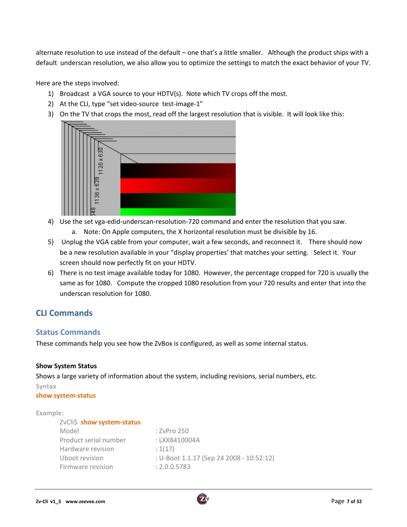alternate resolution to use instead of the default – one that's a little smaller. Although the product ships with a default underscan resolution, we also allow you to optimize the settings to match the exact behavior of your TV.

Here are the steps involved:

- 1) Broadcast a VGA source to your HDTV(s). Note which TV crops off the most.
- 2) At the CLI, type "set video-source test-image-1"
- 3) On the TV that crops the most, read off the largest resolution that is visible. It will look like this:



- 4) Use the set vga-edid-underscan-resolution-720 command and enter the resolution that you saw.
	- a. Note: On Apple computers, the X horizontal resolution must be divisible by 16.
- 5) Unplug the VGA cable from your computer, wait a few seconds, and reconnect it. There should now be a new resolution available in your "display properties' that matches your setting. Select it. Your screen should now perfectly fit on your HDTV.
- 6) There is no test image available today for 1080. However, the percentage cropped for 720 is usually the same as for 1080. Compute the cropped 1080 resolution from your 720 results and enter that into the underscan resolution for 1080.

# **CLI Commands**

#### **Status Commands**

These commands help you see how the ZvBox is configured, as well as some internal status.

#### **Show System Status**

Shows a large variety of information about the system, including revisions, serial numbers, etc.

#### **Syntax**

#### **show system‐status**

#### **Example:**

| : ZvPro 250                              |
|------------------------------------------|
| : LXX8410004A                            |
| : 1(17)                                  |
| : U-Boot 1.1.17 (Sep 24 2008 - 10:52:12) |
| : 2.0.0.5783                             |
|                                          |

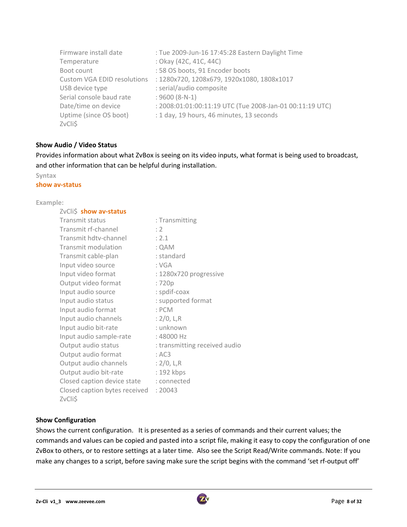| Firmware install date       | : Tue 2009-Jun-16 17:45:28 Eastern Daylight Time         |
|-----------------------------|----------------------------------------------------------|
| Temperature                 | : Okay (42C, 41C, 44C)                                   |
| Boot count                  | : 58 OS boots, 91 Encoder boots                          |
| Custom VGA EDID resolutions | : 1280x720, 1208x679, 1920x1080, 1808x1017               |
| USB device type             | : serial/audio composite                                 |
| Serial console baud rate    | $: 9600 (8-N-1)$                                         |
| Date/time on device         | : 2008:01:01:00:11:19 UTC (Tue 2008-Jan-01 00:11:19 UTC) |
| Uptime (since OS boot)      | : 1 day, 19 hours, 46 minutes, 13 seconds                |
| ZvCli\$                     |                                                          |

#### **Show Audio / Video Status**

Provides information about what ZvBox is seeing on its video inputs, what format is being used to broadcast, and other information that can be helpful during installation.

#### **Syntax**

#### **show av‐status**

#### **Example:**

| ZvCli\$ show av-status        |                               |
|-------------------------------|-------------------------------|
| Transmit status               | : Transmitting                |
| Transmit rf-channel           | : 2                           |
| Transmit hdtv-channel         | : 2.1                         |
| Transmit modulation           | : QAM                         |
| Transmit cable-plan           | : standard                    |
| Input video source            | : VGA                         |
| Input video format            | : 1280x720 progressive        |
| Output video format           | :720p                         |
| Input audio source            | : spdif-coax                  |
| Input audio status            | : supported format            |
| Input audio format            | $:$ PCM                       |
| Input audio channels          | : $2/0$ , L, R                |
| Input audio bit-rate          | : unknown                     |
| Input audio sample-rate       | : 48000 Hz                    |
| Output audio status           | : transmitting received audio |
| Output audio format           | : AC3                         |
| Output audio channels         | : $2/0$ , L,R                 |
| Output audio bit-rate         | : 192 kbps                    |
| Closed caption device state   | : connected                   |
| Closed caption bytes received | : 20043                       |
| ZvCli\$                       |                               |

#### **Show Configuration**

Shows the current configuration. It is presented as a series of commands and their current values; the commands and values can be copied and pasted into a script file, making it easy to copy the configuration of one ZvBox to others, or to restore settings at a later time. Also see the Script Read/Write commands. Note: If you make any changes to a script, before saving make sure the script begins with the command 'set rf-output off'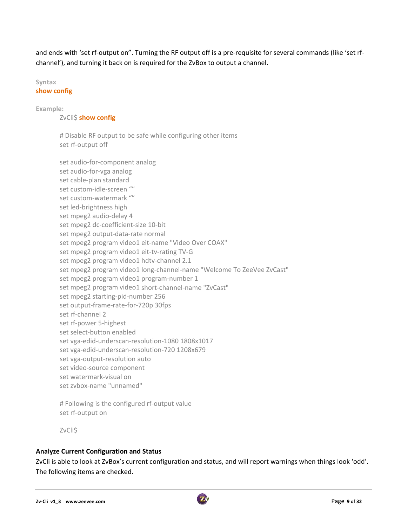and ends with 'set rf-output on". Turning the RF output off is a pre-requisite for several commands (like 'set rfchannel'), and turning it back on is required for the ZvBox to output a channel.

# **Syntax**

### **show config**

**Example:**

#### ZvCli\$ **show config**

# Disable RF output to be safe while configuring other items set rf-output off

set audio‐for‐component analog set audio‐for‐vga analog set cable‐plan standard set custom‐idle‐screen "" set custom-watermark "" set led‐brightness high set mpeg2 audio‐delay 4 set mpeg2 dc‐coefficient‐size 10‐bit set mpeg2 output‐data‐rate normal set mpeg2 program video1 eit-name "Video Over COAX" set mpeg2 program video1 eit-tv-rating TV-G set mpeg2 program video1 hdtv-channel 2.1 set mpeg2 program video1 long-channel-name "Welcome To ZeeVee ZvCast" set mpeg2 program video1 program‐number 1 set mpeg2 program video1 short-channel-name "ZvCast" set mpeg2 starting‐pid‐number 256 set output‐frame‐rate‐for‐720p 30fps set rf‐channel 2 set rf‐power 5‐highest set select‐button enabled set vga-edid-underscan-resolution-1080 1808x1017 set vga‐edid‐underscan‐resolution‐720 1208x679 set vga‐output‐resolution auto set video‐source component set watermark‐visual on set zvbox‐name "unnamed"

# Following is the configured rf‐output value set rf‐output on

ZvCli\$

### **Analyze Current Configuration and Status**

ZvCli is able to look at ZvBox's current configuration and status, and will report warnings when things look 'odd'. The following items are checked.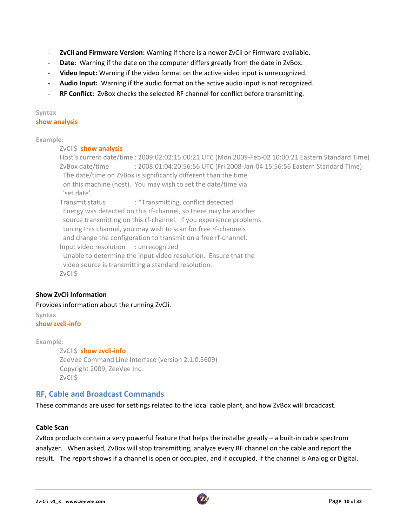- ‐ **ZvCli and Firmware Version:** Warning if there is a newer ZvCli or Firmware available.
- **Date:** Warning if the date on the computer differs greatly from the date in ZvBox.
- ‐ **Video Input:** Warning if the video format on the active video input is unrecognized.
- ‐ **Audio Input:** Warning if the audio format on the active audio input is not recognized.
- ‐ **RF Conflict:** ZvBox checks the selected RF channel for conflict before transmitting.

#### **Syntax show analysis**

#### **Example:**

#### ZvCli\$ **show analysis**

Host's current date/time : 2009:02:02:15:00:21 UTC (Mon 2009‐Feb‐02 10:00:21 Eastern Standard Time) ZvBox date/time : 2008:01:04:20:56:56 UTC (Fri 2008‐Jan‐04 15:56:56 Eastern Standard Time) The date/time on ZvBox is significantly different than the time on this machine (host). You may wish to set the date/time via 'set date'. Transmit status : \*Transmitting, conflict detected Energy was detected on this rf‐channel, so there may be another source transmitting on this rf-channel. If you experience problems tuning this channel, you may wish to scan for free rf‐channels and change the configuration to transmit on a free rf-channel. Input video resolution : unrecognized Unable to determine the input video resolution. Ensure that the

 video source is transmitting a standard resolution. ZvCli\$

### **Show ZvCli Information**

#### Provides information about the running ZvCli.

**Syntax show zvcli‐info**

**Example:**

ZvCli\$ **show zvcli‐info** ZeeVee Command Line Interface (version 2.1.0.5609) Copyright 2009, ZeeVee Inc. ZvCli\$

### **RF, Cable and Broadcast Commands**

These commands are used for settings related to the local cable plant, and how ZvBox will broadcast.

#### **Cable Scan**

ZvBox products contain a very powerful feature that helps the installer greatly – a built‐in cable spectrum analyzer. When asked, ZvBox will stop transmitting, analyze every RF channel on the cable and report the result. The report shows if a channel is open or occupied, and if occupied, if the channel is Analog or Digital.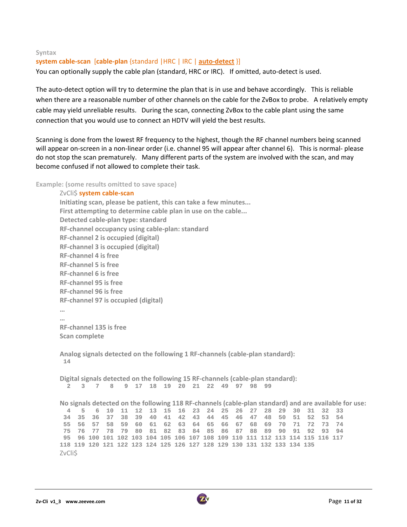#### **Syntax**

#### **system cable‐scan** [**cable‐plan** {standard |HRC | IRC | **auto‐detect** }]

You can optionally supply the cable plan (standard, HRC or IRC). If omitted, auto‐detect is used.

The auto-detect option will try to determine the plan that is in use and behave accordingly. This is reliable when there are a reasonable number of other channels on the cable for the ZvBox to probe. A relatively empty cable may yield unreliable results. During the scan, connecting ZvBox to the cable plant using the same connection that you would use to connect an HDTV will yield the best results.

Scanning is done from the lowest RF frequency to the highest, though the RF channel numbers being scanned will appear on-screen in a non-linear order (i.e. channel 95 will appear after channel 6). This is normal- please do not stop the scan prematurely. Many different parts of the system are involved with the scan, and may become confused if not allowed to complete their task.

**Example: (some results omitted to save space)**

```
ZvCli$ system cable‐scan
Initiating scan, please be patient, this can take a few minutes...
First attempting to determine cable plan in use on the cable...
Detected cable‐plan type: standard
RF‐channel occupancy using cable‐plan: standard
RF‐channel 2 is occupied (digital)
RF‐channel 3 is occupied (digital)
RF‐channel 4 is free
RF‐channel 5 is free
RF‐channel 6 is free
RF‐channel 95 is free
RF‐channel 96 is free
RF‐channel 97 is occupied (digital)
…
…
RF‐channel 135 is free
Scan complete
Analog signals detected on the following 1 RF‐channels (cable‐plan standard):
 14 
Digital signals detected on the following 15 RF‐channels (cable‐plan standard):
           2 3 7 8 9 17 18 19 20 21 22 49 97 98 99 
No signals detected on the following 118 RF-channels (cable-plan standard) and are available for use:
  4 5 6 10 11 12 13 15 16 23 24 25 26 27 28 29 30 31 32 33 
  34 35 36 37 38 39 40 41 42 43 44 45 46 47 48 50 51 52 53 54 
  55 56 57 58 59 60 61 62 63 64 65 66 67 68 69 70 71 72 73 74 
 75 76 77 78 79 80 81 82 83 84 85 86 87 88 89 90 91 92 93 94 
 95 96 100 101 102 103 104 105 106 107 108 109 110 111 112 113 114 115 116 117 
118 119 120 121 122 123 124 125 126 127 128 129 130 131 132 133 134 135 
ZvCli$
```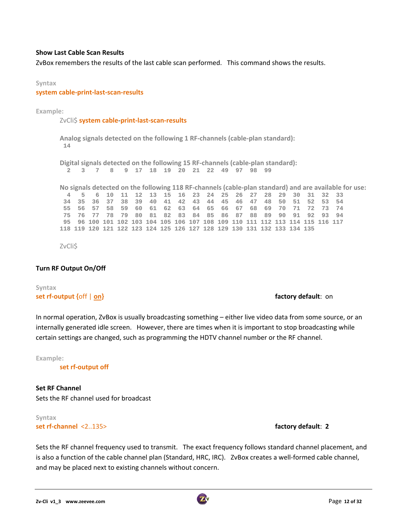#### **Show Last Cable Scan Results**

ZvBox remembers the results of the last cable scan performed. This command shows the results.

#### **Syntax**

**system cable‐print‐last‐scan‐results** 

Example:

ZvCli\$ **system cable**‐**print‐last‐scan‐results**

**Analog signals detected on the following 1 RF‐channels (cable‐plan standard): 14** 

**Digital signals detected on the following 15 RF‐channels (cable‐plan standard): 2 3 7 8 9 17 18 19 20 21 22 49 97 98 99** 

No signals detected on the following 118 RF-channels (cable-plan standard) and are available for use:  **4 5 6 10 11 12 13 15 16 23 24 25 26 27 28 29 30 31 32 33 34 35 36 37 38 39 40 41 42 43 44 45 46 47 48 50 51 52 53 54 55 56 57 58 59 60 61 62 63 64 65 66 67 68 69 70 71 72 73 74 75 76 77 78 79 80 81 82 83 84 85 86 87 88 89 90 91 92 93 94 95 96 100 101 102 103 104 105 106 107 108 109 110 111 112 113 114 115 116 117 118 119 120 121 122 123 124 125 126 127 128 129 130 131 132 133 134 135** 

ZvCli\$

#### **Turn RF Output On/Off**

#### **Syntax set rf‐output {**off | **on} factory default**: on

In normal operation, ZvBox is usually broadcasting something – either live video data from some source, or an internally generated idle screen. However, there are times when it is important to stop broadcasting while certain settings are changed, such as programming the HDTV channel number or the RF channel.

**Example:**

**set rf‐output off**

**Set RF Channel** Sets the RF channel used for broadcast

#### **Syntax set rf‐channel** <2..135> **factory default**: **2**

Sets the RF channel frequency used to transmit. The exact frequency follows standard channel placement, and is also a function of the cable channel plan (Standard, HRC, IRC). ZvBox creates a well-formed cable channel, and may be placed next to existing channels without concern.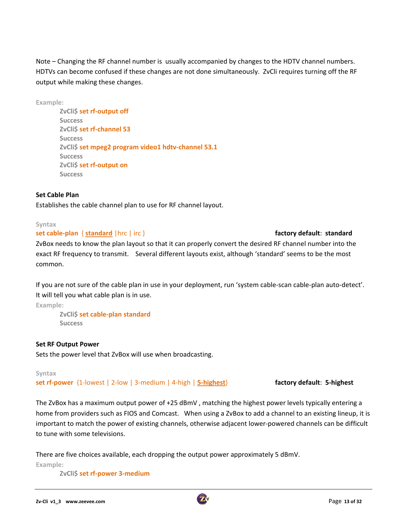Note – Changing the RF channel number is usually accompanied by changes to the HDTV channel numbers. HDTVs can become confused if these changes are not done simultaneously. ZvCli requires turning off the RF output while making these changes.

**Example:**

**ZvCli\$ set rf‐output off Success ZvCli\$ set rf‐channel 53 Success ZvCli\$ set mpeg2 program video1 hdtv‐channel 53.1 Success ZvCli\$ set rf‐output on Success**

#### **Set Cable Plan**

Establishes the cable channel plan to use for RF channel layout.

#### **Syntax**

#### **set cable-plan** { **standard** | hrc | irc } **increase the factory default: <b>standard** | hrc | irc }

ZvBox needs to know the plan layout so that it can properly convert the desired RF channel number into the exact RF frequency to transmit. Several different layouts exist, although 'standard' seems to be the most common.

If you are not sure of the cable plan in use in your deployment, run 'system cable‐scan cable‐plan auto‐detect'. It will tell you what cable plan is in use.

**Example:**

**ZvCli\$ set cable‐plan standard Success**

#### **Set RF Output Power**

Sets the power level that ZvBox will use when broadcasting.

#### **Syntax**

**set rf‐power** {1‐lowest | 2‐low | 3‐medium | 4‐high | **5‐highest**} **factory default**: **5‐highest**

The ZvBox has a maximum output power of +25 dBmV , matching the highest power levels typically entering a home from providers such as FIOS and Comcast. When using a ZvBox to add a channel to an existing lineup, it is important to match the power of existing channels, otherwise adjacent lower-powered channels can be difficult to tune with some televisions.

There are five choices available, each dropping the output power approximately 5 dBmV.

**Example:**

**ZvCli\$ set rf‐power 3‐medium**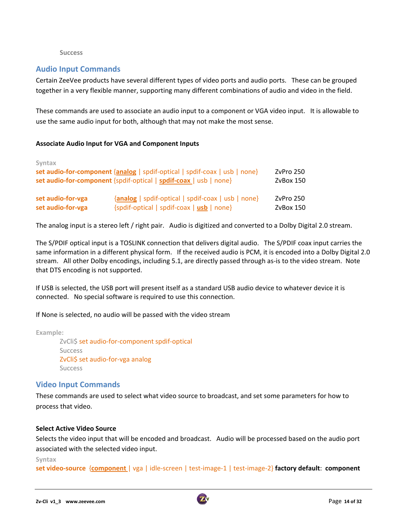#### **Success**

### **Audio Input Commands**

Certain ZeeVee products have several different types of video ports and audio ports. These can be grouped together in a very flexible manner, supporting many different combinations of audio and video in the field.

These commands are used to associate an audio input to a component or VGA video input. It is allowable to use the same audio input for both, although that may not make the most sense.

#### **Associate Audio Input for VGA and Component Inputs**

| Syntax            | set audio-for-component {analog   spdif-optical   spdif-coax   usb   none}<br>set audio-for-component {spdif-optical   spdif-coax   usb   none} | ZvPro 250<br>ZyBox 150 |
|-------------------|-------------------------------------------------------------------------------------------------------------------------------------------------|------------------------|
| set audio-for-vga | {analog   spdif-optical   spdif-coax   usb   none}                                                                                              | ZvPro 250              |
| set audio-for-vga | $\{split\}$ $[$ spdif-optical $ $ spdif-coax $ $ usb $ $ none $ $                                                                               | ZyBox 150              |

The analog input is a stereo left / right pair. Audio is digitized and converted to a Dolby Digital 2.0 stream.

The S/PDIF optical input is a TOSLINK connection that delivers digital audio. The S/PDIF coax input carries the same information in a different physical form. If the received audio is PCM, it is encoded into a Dolby Digital 2.0 stream. All other Dolby encodings, including 5.1, are directly passed through as-is to the video stream. Note that DTS encoding is not supported.

If USB is selected, the USB port will present itself as a standard USB audio device to whatever device it is connected. No special software is required to use this connection.

If None is selected, no audio will be passed with the video stream

**Example:**

ZvCli\$ set audio-for-component spdif-optical Success ZvCli\$ set audio‐for‐vga analog Success

### **Video Input Commands**

These commands are used to select what video source to broadcast, and set some parameters for how to process that video.

#### **Select Active Video Source**

Selects the video input that will be encoded and broadcast. Audio will be processed based on the audio port associated with the selected video input.

#### **Syntax**

**set video‐source** {**component** | vga | idle‐screen | test‐image‐1 | test‐image‐2} **factory default**: **component**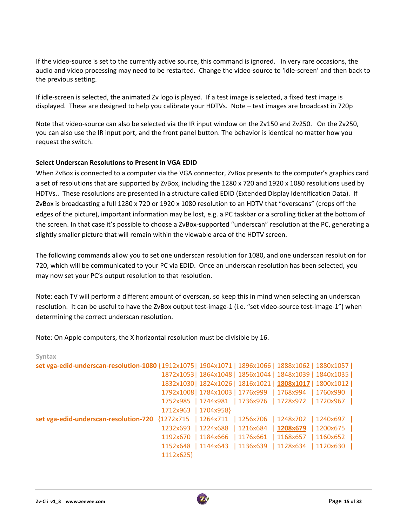If the video-source is set to the currently active source, this command is ignored. In very rare occasions, the audio and video processing may need to be restarted. Change the video‐source to 'idle‐screen' and then back to the previous setting.

If idle‐screen is selected, the animated Zv logo is played. If a test image is selected, a fixed test image is displayed. These are designed to help you calibrate your HDTVs. Note – test images are broadcast in 720p

Note that video-source can also be selected via the IR input window on the Zv150 and Zv250. On the Zv250, you can also use the IR input port, and the front panel button. The behavior is identical no matter how you request the switch.

#### **Select Underscan Resolutions to Present in VGA EDID**

When ZvBox is connected to a computer via the VGA connector, ZvBox presents to the computer's graphics card a set of resolutions that are supported by ZvBox, including the 1280 x 720 and 1920 x 1080 resolutions used by HDTVs.. These resolutions are presented in a structure called EDID (Extended Display Identification Data). If ZvBox is broadcasting a full 1280 x 720 or 1920 x 1080 resolution to an HDTV that "overscans" (crops off the edges of the picture), important information may be lost, e.g. a PC taskbar or a scrolling ticker at the bottom of the screen. In that case it's possible to choose a ZvBox‐supported "underscan" resolution at the PC, generating a slightly smaller picture that will remain within the viewable area of the HDTV screen.

The following commands allow you to set one underscan resolution for 1080, and one underscan resolution for 720, which will be communicated to your PC via EDID. Once an underscan resolution has been selected, you may now set your PC's output resolution to that resolution.

Note: each TV will perform a different amount of overscan, so keep this in mind when selecting an underscan resolution. It can be useful to have the ZvBox output test-image-1 (i.e. "set video-source test-image-1") when determining the correct underscan resolution.

Note: On Apple computers, the X horizontal resolution must be divisible by 16.

| 1112x625} |                      |  |                                                                                                                                                                                                                                                                                                                                                                                                                                                                                                                                                                                                                                    |
|-----------|----------------------|--|------------------------------------------------------------------------------------------------------------------------------------------------------------------------------------------------------------------------------------------------------------------------------------------------------------------------------------------------------------------------------------------------------------------------------------------------------------------------------------------------------------------------------------------------------------------------------------------------------------------------------------|
|           | 1712x963   1704x958} |  | set vga-edid-underscan-resolution-1080 {1912x1075   1904x1071   1896x1066   1888x1062   1880x1057  <br>1872x1053  1864x1048   1856x1044   1848x1039   1840x1035  <br>1832x1030  1824x1026   1816x1021   1808x1017   1800x1012  <br>1792x1008   1784x1003   1776x999   1768x994   1760x990  <br>1752x985   1744x981   1736x976   1728x972   1720x967  <br>set vga-edid-underscan-resolution-720 {1272x715   1264x711   1256x706   1248x702   1240x697  <br>1232x693   1224x688   1216x684   1208x679   1200x675  <br>1192x670   1184x666   1176x661   1168x657   1160x652  <br>1152x648   1144x643   1136x639   1128x634   1120x630 |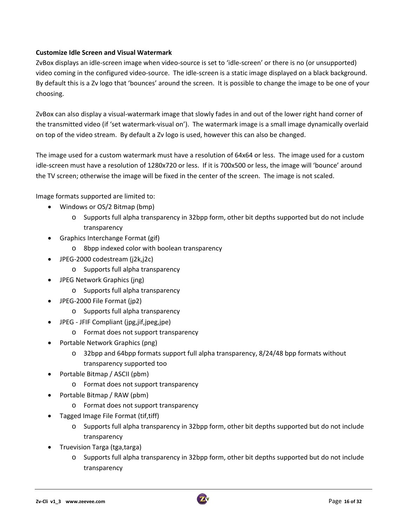#### **Customize Idle Screen and Visual Watermark**

ZvBox displays an idle‐screen image when video‐source is set to 'idle‐screen' or there is no (or unsupported) video coming in the configured video‐source. The idle‐screen is a static image displayed on a black background. By default this is a Zv logo that 'bounces' around the screen. It is possible to change the image to be one of your choosing.

ZvBox can also display a visual‐watermark image that slowly fades in and out of the lower right hand corner of the transmitted video (if 'set watermark‐visual on'). The watermark image is a small image dynamically overlaid on top of the video stream. By default a Zv logo is used, however this can also be changed.

The image used for a custom watermark must have a resolution of 64x64 or less. The image used for a custom idle‐screen must have a resolution of 1280x720 or less. If it is 700x500 or less, the image will 'bounce' around the TV screen; otherwise the image will be fixed in the center of the screen. The image is not scaled.

Image formats supported are limited to:

- Windows or OS/2 Bitmap (bmp)
	- o Supports full alpha transparency in 32bpp form, other bit depths supported but do not include transparency
- Graphics Interchange Format (gif)
	- o 8bpp indexed color with boolean transparency
- JPEG‐2000 codestream (j2k,j2c)
	- o Supports full alpha transparency
- JPEG Network Graphics (jng)
	- o Supports full alpha transparency
- JPEG‐2000 File Format (jp2)
	- o Supports full alpha transparency
- JPEG ‐ JFIF Compliant (jpg,jif,jpeg,jpe)
	- o Format does not support transparency
- Portable Network Graphics (png)
	- $\circ$  32bpp and 64bpp formats support full alpha transparency, 8/24/48 bpp formats without transparency supported too
- Portable Bitmap / ASCII (pbm)
	- o Format does not support transparency
- Portable Bitmap / RAW (pbm)
	- o Format does not support transparency
- Tagged Image File Format (tif,tiff)
	- o Supports full alpha transparency in 32bpp form, other bit depths supported but do not include transparency
- Truevision Targa (tga, targa)
	- o Supports full alpha transparency in 32bpp form, other bit depths supported but do not include transparency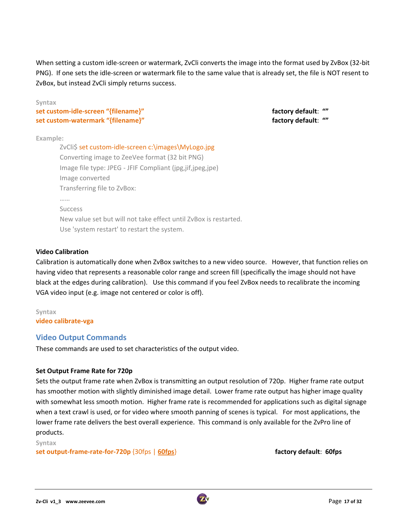When setting a custom idle‐screen or watermark, ZvCli converts the image into the format used by ZvBox (32‐bit PNG). If one sets the idle‐screen or watermark file to the same value that is already set, the file is NOT resent to ZvBox, but instead ZvCli simply returns success.

**Syntax**

**set custom‐idle‐screen "{filename}" factory default**: **"" set custom‐watermark "{filename}" factory default**: **""**

#### **Example:**

ZvCli\$ set custom-idle-screen c:\images\MyLogo.jpg Converting image to ZeeVee format (32 bit PNG) Image file type: JPEG ‐ JFIF Compliant (jpg,jif,jpeg,jpe) Image converted Transferring file to ZvBox: …… Success New value set but will not take effect until ZvBox is restarted. Use 'system restart' to restart the system.

#### **Video Calibration**

Calibration is automatically done when ZvBox switches to a new video source. However, that function relies on having video that represents a reasonable color range and screen fill (specifically the image should not have black at the edges during calibration). Use this command if you feel ZvBox needs to recalibrate the incoming VGA video input (e.g. image not centered or color is off).

#### **Syntax video calibrate‐vga**

# **Video Output Commands**

These commands are used to set characteristics of the output video.

### **Set Output Frame Rate for 720p**

Sets the output frame rate when ZvBox is transmitting an output resolution of 720p. Higher frame rate output has smoother motion with slightly diminished image detail. Lower frame rate output has higher image quality with somewhat less smooth motion. Higher frame rate is recommended for applications such as digital signage when a text crawl is used, or for video where smooth panning of scenes is typical. For most applications, the lower frame rate delivers the best overall experience. This command is only available for the ZvPro line of products.

#### **Syntax**

#### **set output‐frame‐rate‐for‐720p** {30fps | **60fps**} **factory default**: **60fps**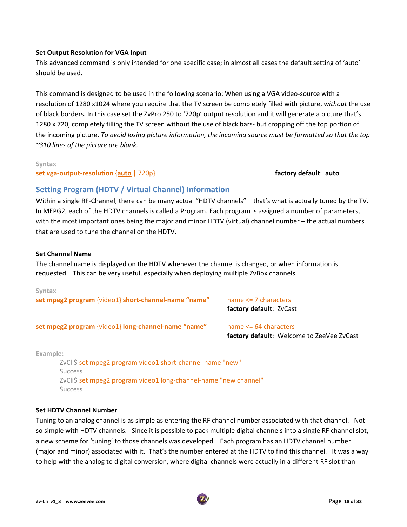#### **Set Output Resolution for VGA Input**

This advanced command is only intended for one specific case; in almost all cases the default setting of 'auto' should be used.

This command is designed to be used in the following scenario: When using a VGA video‐source with a resolution of 1280 x1024 where you require that the TV screen be completely filled with picture, *without* the use of black borders. In this case set the ZvPro 250 to '720p' output resolution and it will generate a picture that's 1280 x 720, completely filling the TV screen without the use of black bars‐ but cropping off the top portion of the incoming picture. *To avoid losing picture information, the incoming source must be formatted so that the top ~310 lines of the picture are blank.*

#### **Syntax**

**set vga‐output‐resolution** {**auto** | 720p} **factory default**: **auto**

# **Setting Program (HDTV / Virtual Channel) Information**

Within a single RF‐Channel, there can be many actual "HDTV channels" – that's what is actually tuned by the TV. In MEPG2, each of the HDTV channels is called a Program. Each program is assigned a number of parameters, with the most important ones being the major and minor HDTV (virtual) channel number – the actual numbers that are used to tune the channel on the HDTV.

#### **Set Channel Name**

The channel name is displayed on the HDTV whenever the channel is changed, or when information is requested. This can be very useful, especially when deploying multiple ZvBox channels.

# **Syntax set mpeg2 program** {video1} **short‐channel‐name "name"** name <= 7 characters **factory default**: ZvCast **set mpeg2 program** {video1} **long‐channel‐name "name"** name <= 64 characters **factory default**: Welcome to ZeeVee ZvCast

**Example:**

ZvCli\$ set mpeg2 program video1 short‐channel‐name "new" Success ZvCli\$ set mpeg2 program video1 long‐channel‐name "new channel" Success

#### **Set HDTV Channel Number**

Tuning to an analog channel is as simple as entering the RF channel number associated with that channel. Not so simple with HDTV channels. Since it is possible to pack multiple digital channels into a single RF channel slot, a new scheme for 'tuning' to those channels was developed. Each program has an HDTV channel number (major and minor) associated with it. That's the number entered at the HDTV to find this channel. It was a way to help with the analog to digital conversion, where digital channels were actually in a different RF slot than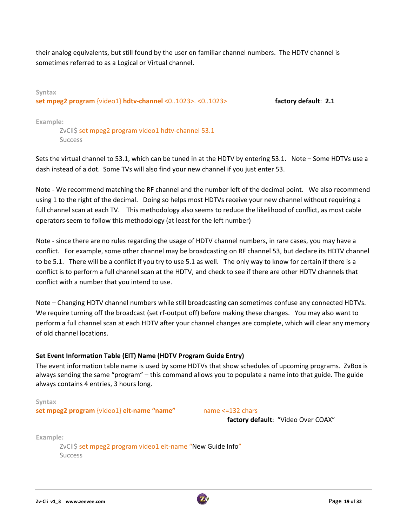their analog equivalents, but still found by the user on familiar channel numbers. The HDTV channel is sometimes referred to as a Logical or Virtual channel.

**Syntax set mpeg2 program** {video1} **hdtv‐channel** <0..1023>. <0..1023> **factory default**: **2.1**

**Example:**

ZvCli\$ set mpeg2 program video1 hdtv-channel 53.1 Success

Sets the virtual channel to 53.1, which can be tuned in at the HDTV by entering 53.1. Note – Some HDTVs use a dash instead of a dot. Some TVs will also find your new channel if you just enter 53.

Note - We recommend matching the RF channel and the number left of the decimal point. We also recommend using 1 to the right of the decimal. Doing so helps most HDTVs receive your new channel without requiring a full channel scan at each TV. This methodology also seems to reduce the likelihood of conflict, as most cable operators seem to follow this methodology (at least for the left number)

Note - since there are no rules regarding the usage of HDTV channel numbers, in rare cases, you may have a conflict. For example, some other channel may be broadcasting on RF channel 53, but declare its HDTV channel to be 5.1. There will be a conflict if you try to use 5.1 as well. The only way to know for certain if there is a conflict is to perform a full channel scan at the HDTV, and check to see if there are other HDTV channels that conflict with a number that you intend to use.

Note – Changing HDTV channel numbers while still broadcasting can sometimes confuse any connected HDTVs. We require turning off the broadcast (set rf-output off) before making these changes. You may also want to perform a full channel scan at each HDTV after your channel changes are complete, which will clear any memory of old channel locations.

### **Set Event Information Table (EIT) Name (HDTV Program Guide Entry)**

The event information table name is used by some HDTVs that show schedules of upcoming programs. ZvBox is always sending the same "program" – this command allows you to populate a name into that guide. The guide always contains 4 entries, 3 hours long.

#### **Syntax**

**set mpeg2 program** {video1} **eit‐name "name"**  name <=132 chars

**factory default**: "Video Over COAX"

**Example:**

ZvCli\$ set mpeg2 program video1 eit-name "New Guide Info" Success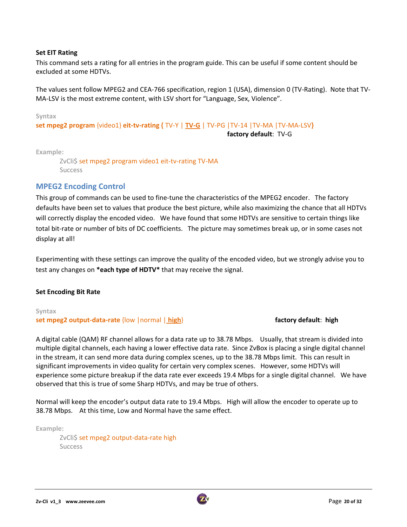#### **Set EIT Rating**

This command sets a rating for all entries in the program guide. This can be useful if some content should be excluded at some HDTVs.

The values sent follow MPEG2 and CEA‐766 specification, region 1 (USA), dimension 0 (TV‐Rating). Note that TV‐ MA‐LSV is the most extreme content, with LSV short for "Language, Sex, Violence".

#### **Syntax**

**set mpeg2 program** {video1} **eit‐tv‐rating {** TV‐Y | **TV‐G** | TV‐PG |TV‐14 |TV‐MA |TV‐MA‐LSV**}**

**factory default**: TV‐G

**Example:**

ZvCli\$ set mpeg2 program video1 eit-tv-rating TV-MA **Success** 

#### **MPEG2 Encoding Control**

This group of commands can be used to fine-tune the characteristics of the MPEG2 encoder. The factory defaults have been set to values that produce the best picture, while also maximizing the chance that all HDTVs will correctly display the encoded video. We have found that some HDTVs are sensitive to certain things like total bit-rate or number of bits of DC coefficients. The picture may sometimes break up, or in some cases not display at all!

Experimenting with these settings can improve the quality of the encoded video, but we strongly advise you to test any changes on **\*each type of HDTV\*** that may receive the signal.

#### **Set Encoding Bit Rate**

### **Syntax set mpeg2 output‐data‐rate** {low |normal | **high**} **factory default**: **high**

A digital cable (QAM) RF channel allows for a data rate up to 38.78 Mbps. Usually, that stream is divided into multiple digital channels, each having a lower effective data rate. Since ZvBox is placing a single digital channel in the stream, it can send more data during complex scenes, up to the 38.78 Mbps limit. This can result in significant improvements in video quality for certain very complex scenes. However, some HDTVs will experience some picture breakup if the data rate ever exceeds 19.4 Mbps for a single digital channel. We have observed that this is true of some Sharp HDTVs, and may be true of others.

Normal will keep the encoder's output data rate to 19.4 Mbps. High will allow the encoder to operate up to 38.78 Mbps. At this time, Low and Normal have the same effect.

**Example:**

ZvCli\$ set mpeg2 output-data-rate high Success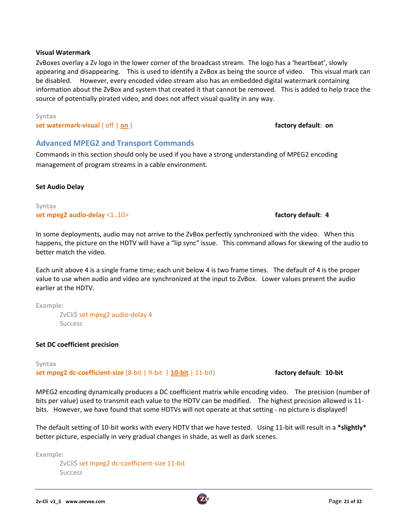#### **Visual Watermark**

ZvBoxes overlay a Zv logo in the lower corner of the broadcast stream. The logo has a 'heartbeat', slowly appearing and disappearing. This is used to identify a ZvBox as being the source of video. This visual mark can be disabled. However, every encoded video stream also has an embedded digital watermark containing information about the ZvBox and system that created it that cannot be removed. This is added to help trace the source of potentially pirated video, and does not affect visual quality in any way.

#### **Syntax**

**set watermark‐visual** { off | **on** } **factory default**: **on**

#### **Advanced MPEG2 and Transport Commands**

Commands in this section should only be used if you have a strong understanding of MPEG2 encoding management of program streams in a cable environment.

#### **Set Audio Delay**

**Syntax set mpeg2 audio‐delay** <1..10> **factory default**: **4**

In some deployments, audio may not arrive to the ZvBox perfectly synchronized with the video. When this happens, the picture on the HDTV will have a "lip sync" issue. This command allows for skewing of the audio to better match the video.

Each unit above 4 is a single frame time; each unit below 4 is two frame times. The default of 4 is the proper value to use when audio and video are synchronized at the input to ZvBox. Lower values present the audio earlier at the HDTV.

**Example:**

ZvCli\$ set mpeg2 audio-delay 4 Success

#### **Set DC coefficient precision**

**Syntax set mpeg2 dc‐coefficient‐size** {8‐bit | 9‐bit | **10‐bit** | 11‐bit} **factory default**: **10‐bit**

MPEG2 encoding dynamically produces a DC coefficient matrix while encoding video. The precision (number of bits per value) used to transmit each value to the HDTV can be modified. The highest precision allowed is 11‐ bits. However, we have found that some HDTVs will not operate at that setting - no picture is displayed!

The default setting of 10‐bit works with every HDTV that we have tested. Using 11‐bit will result in a **\*slightly\*** better picture, especially in very gradual changes in shade, as well as dark scenes.

**Example:**

ZvCli\$ set mpeg2 dc-coefficient-size 11-bit Success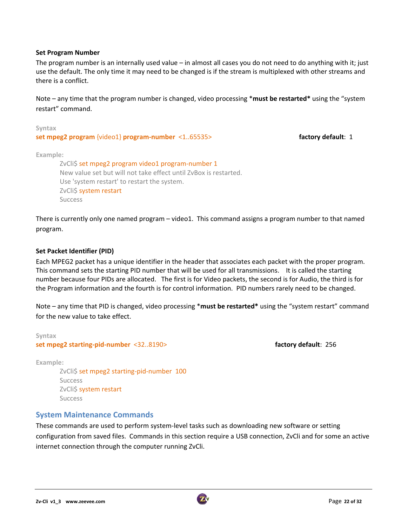#### **Set Program Number**

The program number is an internally used value – in almost all cases you do not need to do anything with it; just use the default. The only time it may need to be changed is if the stream is multiplexed with other streams and there is a conflict.

Note – any time that the program number is changed, video processing \***must be restarted\*** using the "system restart" command.

| Syntax                                             |                    |
|----------------------------------------------------|--------------------|
| set mpeg2 program {video1} program-number <165535> | factory default: 1 |
|                                                    |                    |

**Example:**

ZvCli\$ set mpeg2 program video1 program-number 1 New value set but will not take effect until ZvBox is restarted. Use 'system restart' to restart the system. ZvCli\$ system restart **Success** 

There is currently only one named program – video1. This command assigns a program number to that named program.

#### **Set Packet Identifier (PID)**

Each MPEG2 packet has a unique identifier in the header that associates each packet with the proper program. This command sets the starting PID number that will be used for all transmissions. It is called the starting number because four PIDs are allocated. The first is for Video packets, the second is for Audio, the third is for the Program information and the fourth is for control information. PID numbers rarely need to be changed.

Note – any time that PID is changed, video processing \***must be restarted\*** using the "system restart" command for the new value to take effect.

**Syntax set mpeg2 starting‐pid‐number** <32..8190> **factory default**: 256

**Example:**

ZvCli\$ set mpeg2 starting-pid-number 100 **Success** ZvCli\$ system restart Success

#### **System Maintenance Commands**

These commands are used to perform system‐level tasks such as downloading new software or setting configuration from saved files. Commands in this section require a USB connection, ZvCli and for some an active internet connection through the computer running ZvCli.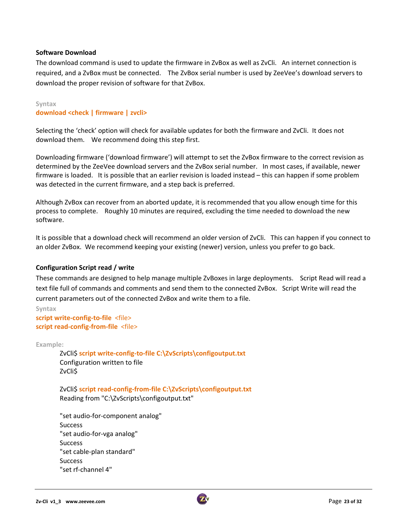#### **Software Download**

The download command is used to update the firmware in ZvBox as well as ZvCli. An internet connection is required, and a ZvBox must be connected. The ZvBox serial number is used by ZeeVee's download servers to download the proper revision of software for that ZvBox.

#### **Syntax**

**download <check | firmware | zvcli>**

Selecting the 'check' option will check for available updates for both the firmware and ZvCli. It does not download them. We recommend doing this step first.

Downloading firmware ('download firmware') will attempt to set the ZvBox firmware to the correct revision as determined by the ZeeVee download servers and the ZvBox serial number. In most cases, if available, newer firmware is loaded. It is possible that an earlier revision is loaded instead – this can happen if some problem was detected in the current firmware, and a step back is preferred.

Although ZvBox can recover from an aborted update, it is recommended that you allow enough time for this process to complete. Roughly 10 minutes are required, excluding the time needed to download the new software.

It is possible that a download check will recommend an older version of ZvCli. This can happen if you connect to an older ZvBox. We recommend keeping your existing (newer) version, unless you prefer to go back.

#### **Configuration Script read / write**

These commands are designed to help manage multiple ZvBoxes in large deployments. Script Read will read a text file full of commands and comments and send them to the connected ZvBox. Script Write will read the current parameters out of the connected ZvBox and write them to a file.

```
Syntax
script write‐config‐to‐file  <file>
script read‐config‐from‐file  <file>
```
**Example:**

ZvCli\$ **script write‐config‐to‐file C:\ZvScripts\configoutput.txt** Configuration written to file ZvCli\$

ZvCli\$ **script read‐config‐from‐file C:\ZvScripts\configoutput.txt** Reading from "C:\ZvScripts\configoutput.txt"

"set audio‐for‐component analog" Success "set audio‐for‐vga analog" Success "set cable‐plan standard" **Success** "set rf‐channel 4"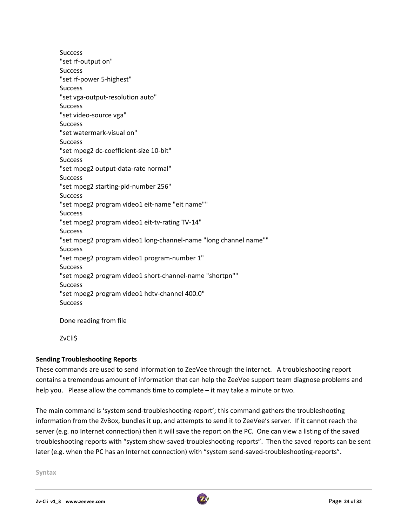**Success** "set rf‐output on" **Success** "set rf‐power 5‐highest" Success "set vga‐output‐resolution auto" **Success** "set video‐source vga" **Success** "set watermark‐visual on" **Success** "set mpeg2 dc‐coefficient‐size 10‐bit" **Success** "set mpeg2 output‐data‐rate normal" **Success** "set mpeg2 starting‐pid‐number 256" **Success** "set mpeg2 program video1 eit‐name "eit name"" **Success** "set mpeg2 program video1 eit‐tv‐rating TV‐14" Success "set mpeg2 program video1 long‐channel‐name "long channel name"" Success "set mpeg2 program video1 program‐number 1" Success "set mpeg2 program video1 short‐channel‐name "shortpn"" **Success** "set mpeg2 program video1 hdtv‐channel 400.0" **Success** 

Done reading from file

ZvCli\$

### **Sending Troubleshooting Reports**

These commands are used to send information to ZeeVee through the internet. A troubleshooting report contains a tremendous amount of information that can help the ZeeVee support team diagnose problems and help you. Please allow the commands time to complete – it may take a minute or two.

The main command is 'system send-troubleshooting-report'; this command gathers the troubleshooting information from the ZvBox, bundles it up, and attempts to send it to ZeeVee's server. If it cannot reach the server (e.g. no Internet connection) then it will save the report on the PC. One can view a listing of the saved troubleshooting reports with "system show‐saved‐troubleshooting‐reports". Then the saved reports can be sent later (e.g. when the PC has an Internet connection) with "system send-saved-troubleshooting-reports".

**Syntax**

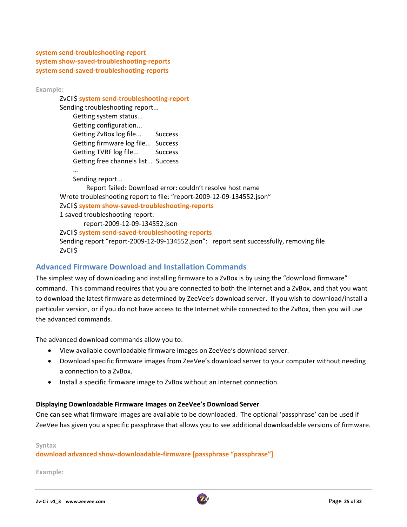**system send‐troubleshooting‐report system show‐saved‐troubleshooting‐reports system send‐saved‐troubleshooting‐reports**

**Example:**

ZvCli\$ **system send‐troubleshooting‐report**

Sending troubleshooting report... Getting system status... Getting configuration... Getting ZvBox log file... Success Getting firmware log file... Success Getting TVRF log file... Success Getting free channels list... Success

 … Sending report...

 Report failed: Download error: couldn't resolve host name Wrote troubleshooting report to file: "report‐2009‐12‐09‐134552.json" ZvCli\$ **system show‐saved‐troubleshooting‐reports** 1 saved troubleshooting report: report‐2009‐12‐09‐134552.json ZvCli\$ **system send‐saved‐troubleshooting‐reports**

Sending report "report‐2009‐12‐09‐134552.json": report sent successfully, removing file ZvCli\$

# **Advanced Firmware Download and Installation Commands**

The simplest way of downloading and installing firmware to a ZvBox is by using the "download firmware" command. This command requires that you are connected to both the Internet and a ZvBox, and that you want to download the latest firmware as determined by ZeeVee's download server. If you wish to download/install a particular version, or if you do not have access to the Internet while connected to the ZvBox, then you will use the advanced commands.

The advanced download commands allow you to:

- View available downloadable firmware images on ZeeVee's download server.
- Download specific firmware images from ZeeVee's download server to your computer without needing a connection to a ZvBox.
- Install a specific firmware image to ZvBox without an Internet connection.

#### **Displaying Downloadable Firmware Images on ZeeVee's Download Server**

One can see what firmware images are available to be downloaded. The optional 'passphrase' can be used if ZeeVee has given you a specific passphrase that allows you to see additional downloadable versions of firmware.

**Syntax**

### **download advanced show‐downloadable‐firmware [passphrase "passphrase"]**

**Example:**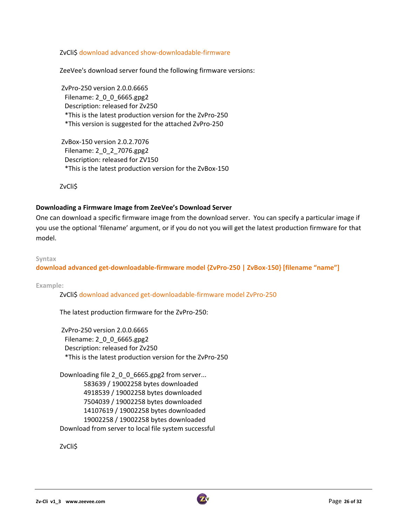ZvCli\$ download advanced show‐downloadable‐firmware

ZeeVee's download server found the following firmware versions:

ZvPro‐250 version 2.0.0.6665 Filename: 2\_0\_0\_6665.gpg2 Description: released for Zv250 \*This is the latest production version for the ZvPro‐250 \*This version is suggested for the attached ZvPro‐250

ZvBox‐150 version 2.0.2.7076 Filename: 2\_0\_2\_7076.gpg2 Description: released for ZV150 \*This is the latest production version for the ZvBox‐150

ZvCli\$

#### **Downloading a Firmware Image from ZeeVee's Download Server**

One can download a specific firmware image from the download server. You can specify a particular image if you use the optional 'filename' argument, or if you do not you will get the latest production firmware for that model.

#### **Syntax**

**download advanced get‐downloadable‐firmware model {ZvPro‐250 | ZvBox‐150} [filename "name"]**

**Example:**

ZvCli\$ download advanced get‐downloadable‐firmware model ZvPro‐250

The latest production firmware for the ZvPro‐250:

ZvPro‐250 version 2.0.0.6665 Filename: 2\_0\_0\_6665.gpg2 Description: released for Zv250 \*This is the latest production version for the ZvPro‐250

Downloading file 2\_0\_0\_6665.gpg2 from server... 583639 / 19002258 bytes downloaded 4918539 / 19002258 bytes downloaded 7504039 / 19002258 bytes downloaded 14107619 / 19002258 bytes downloaded 19002258 / 19002258 bytes downloaded Download from server to local file system successful

ZvCli\$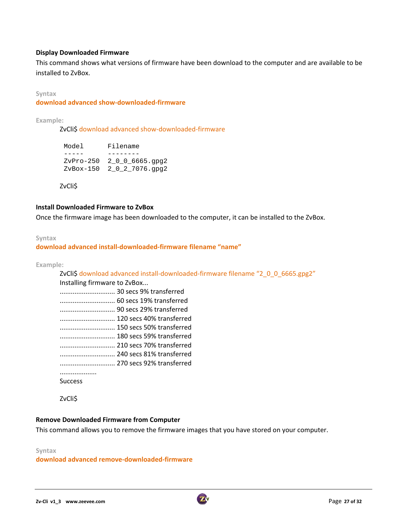#### **Display Downloaded Firmware**

This command shows what versions of firmware have been download to the computer and are available to be installed to ZvBox.

#### **Syntax**

#### **download advanced show‐downloaded‐firmware**

**Example:**

ZvCli\$ download advanced show-downloaded-firmware

| Model | Filename                    |
|-------|-----------------------------|
|       |                             |
|       | $ZvPro-250$ 2 0 0 6665.qpq2 |
|       | ZvBox-150 2 0 2 7076.gpg2   |

ZvCli\$

#### **Install Downloaded Firmware to ZvBox**

Once the firmware image has been downloaded to the computer, it can be installed to the ZvBox.

#### **Syntax**

#### **download advanced install‐downloaded‐firmware filename "name"**

**Example:**

ZvCli\$ download advanced install-downloaded-firmware filename "2\_0\_0\_6665.gpg2" Installing firmware to ZvBox... .............................. 30 secs 9% transferred

| 60 secs 19% transferred  |
|--------------------------|
|                          |
|                          |
| 150 secs 50% transferred |
|                          |
|                          |
|                          |
|                          |
|                          |
| <b>Success</b>           |

ZvCli\$

#### **Remove Downloaded Firmware from Computer**

This command allows you to remove the firmware images that you have stored on your computer.

#### **Syntax download advanced remove‐downloaded‐firmware**

**Zv‐Cli v1\_3 www.zeevee.com**  Page **27 of 32**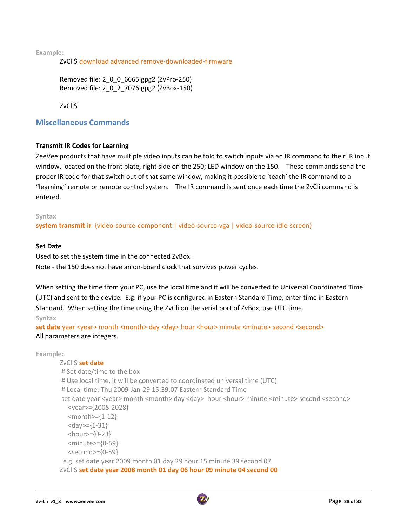**Example:**

ZvCli\$ download advanced remove‐downloaded‐firmware

Removed file: 2\_0\_0\_6665.gpg2 (ZvPro‐250) Removed file: 2\_0\_2\_7076.gpg2 (ZvBox‐150)

ZvCli\$

### **Miscellaneous Commands**

#### **Transmit IR Codes for Learning**

ZeeVee products that have multiple video inputs can be told to switch inputs via an IR command to their IR input window, located on the front plate, right side on the 250; LED window on the 150. These commands send the proper IR code for that switch out of that same window, making it possible to 'teach' the IR command to a "learning" remote or remote control system. The IR command is sent once each time the ZvCli command is entered.

**Syntax**

**system transmit‐ir** {video‐source‐component | video‐source‐vga | video‐source‐idle‐screen}

#### **Set Date**

Used to set the system time in the connected ZvBox. Note ‐ the 150 does not have an on‐board clock that survives power cycles.

When setting the time from your PC, use the local time and it will be converted to Universal Coordinated Time (UTC) and sent to the device. E.g. if your PC is configured in Eastern Standard Time, enter time in Eastern Standard. When setting the time using the ZvCli on the serial port of ZvBox, use UTC time. **Syntax**

set date year <year> month <month> day <day> hour <hour> minute <minute> second <second> All parameters are integers.

```
Example:
        ZvCli$ set date
        # Set date/time to the box
        # Use local time, it will be converted to coordinated universal time (UTC)
        # Local time: Thu 2009‐Jan‐29 15:39:07 Eastern Standard Time
        set date year <year> month <month> day <day> hour <hour> minute <minute> second <second>
               <year>={2008‐2028}
               <month>={1‐12}
               <day>={1‐31}
          <hour>={0-23}
               <minute>={0‐59}
               <second>={0‐59}
           e.g. set date year 2009 month 01 day 29 hour 15 minute 39 second 07
        ZvCli$ set date year 2008 month 01 day 06 hour 09 minute 04 second 00
```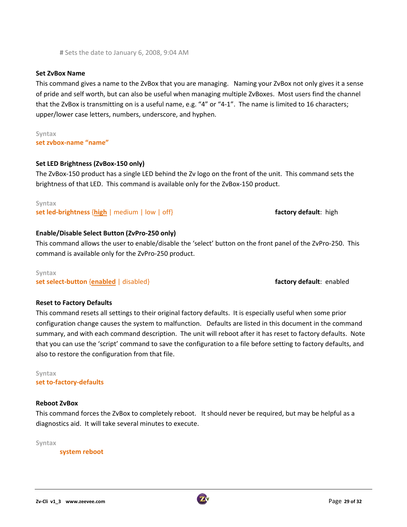**#** Sets the date to January 6, 2008, 9:04 AM

This command gives a name to the ZvBox that you are managing. Naming your ZvBox not only gives it a sense of pride and self worth, but can also be useful when managing multiple ZvBoxes. Most users find the channel that the ZvBox is transmitting on is a useful name, e.g. "4" or "4‐1". The name is limited to 16 characters; upper/lower case letters, numbers, underscore, and hyphen.

**Syntax set zvbox‐name "name"**

#### **Set LED Brightness (ZvBox‐150 only)**

The ZvBox‐150 product has a single LED behind the Zv logo on the front of the unit. This command sets the brightness of that LED. This command is available only for the ZvBox‐150 product.

**Syntax set led‐brightness** {**high** | medium | low | off} **factory default**: high

#### **Enable/Disable Select Button (ZvPro‐250 only)**

This command allows the user to enable/disable the 'select' button on the front panel of the ZvPro‐250. This command is available only for the ZvPro‐250 product.

#### **Syntax**

**set select‐button** {**enabled** | disabled} **factory default**: enabled

#### **Reset to Factory Defaults**

This command resets all settings to their original factory defaults. It is especially useful when some prior configuration change causes the system to malfunction. Defaults are listed in this document in the command summary, and with each command description. The unit will reboot after it has reset to factory defaults. Note that you can use the 'script' command to save the configuration to a file before setting to factory defaults, and also to restore the configuration from that file.

#### **Syntax**

**set to‐factory‐defaults**

#### **Reboot ZvBox**

This command forces the ZvBox to completely reboot. It should never be required, but may be helpful as a diagnostics aid. It will take several minutes to execute.

**Syntax**

**system reboot**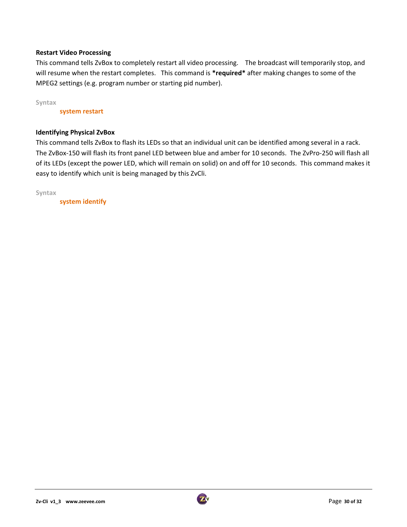#### **Restart Video Processing**

This command tells ZvBox to completely restart all video processing. The broadcast will temporarily stop, and will resume when the restart completes. This command is **\*required\*** after making changes to some of the MPEG2 settings (e.g. program number or starting pid number).

**Syntax**

**system restart**

#### **Identifying Physical ZvBox**

This command tells ZvBox to flash its LEDs so that an individual unit can be identified among several in a rack. The ZvBox‐150 will flash its front panel LED between blue and amber for 10 seconds. The ZvPro‐250 will flash all of its LEDs (except the power LED, which will remain on solid) on and off for 10 seconds. This command makes it easy to identify which unit is being managed by this ZvCli.

**Syntax**

**system identify**

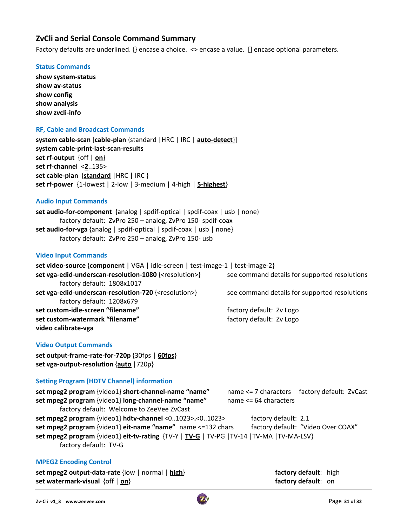## **ZvCli and Serial Console Command Summary**

Factory defaults are underlined. {} encase a choice. <> encase a value. [] encase optional parameters.

#### **Status Commands**

**show system‐status show av‐status show config show analysis show zvcli‐info**

#### **RF, Cable and Broadcast Commands**

**system cable‐scan** [**cable‐plan** {standard |HRC | IRC | **auto‐detect**}] **system cable‐print‐last‐scan‐results set rf‐output** {off | **on**} **set rf‐channel** <**2**..135> **set cable‐plan** {**standard** |HRC | IRC } **set rf‐power** {1‐lowest | 2‐low | 3‐medium | 4‐high | **5‐highest**}

#### **Audio Input Commands**

**set audio‐for‐component** {analog | spdif‐optical | spdif‐coax | usb | none} factory default: ZvPro 250 – analog, ZvPro 150‐ spdif‐coax **set audio‐for‐vga** {analog | spdif‐optical | spdif‐coax | usb | none} factory default: ZvPro 250 – analog, ZvPro 150‐ usb

#### **Video Input Commands**

**set video‐source** {**component** | VGA | idle‐screen | test‐image‐1 | test‐image‐2} **set vga‐edid‐underscan‐resolution‐1080** {<resolution>} see command details for supported resolutions factory default: 1808x1017 **set vga‐edid‐underscan‐resolution‐720** {<resolution>} see command details for supported resolutions factory default: 1208x679 **set custom‐idle‐screen "filename"**  factory default: Zv Logo **set custom‐watermark "filename"**  factory default: Zv Logo **video calibrate‐vga**

#### **Video Output Commands**

**set output‐frame‐rate‐for‐720p** {30fps | **60fps**} **set vga‐output‐resolution** {**auto** |720p}

#### **Setting Program (HDTV Channel) information**

| set mpeg2 program {video1} short-channel-name "name"                                       | name <= 7 characters factory default: ZvCast |
|--------------------------------------------------------------------------------------------|----------------------------------------------|
| set mpeg2 program {video1} long-channel-name "name"                                        | name <= 64 characters                        |
| factory default: Welcome to ZeeVee ZvCast                                                  |                                              |
| set mpeg2 program {video1} hdtv-channel <01023>.<01023>                                    | factory default: 2.1                         |
| set mpeg2 program {video1} eit-name "name" name <= 132 chars                               | factory default: "Video Over COAX"           |
| set mpeg2 program {video1} eit-tv-rating {TV-Y   TV-G   TV-PG   TV-14   TV-MA   TV-MA-LSV} |                                              |
| factory default: TV-G                                                                      |                                              |

#### **MPEG2 Encoding Control**

**set mpeg2 output-data-rate** {low | normal | **high**} **ideal to the factory default**: high **set watermark‐visual** {off | **on**} **factory default**: on